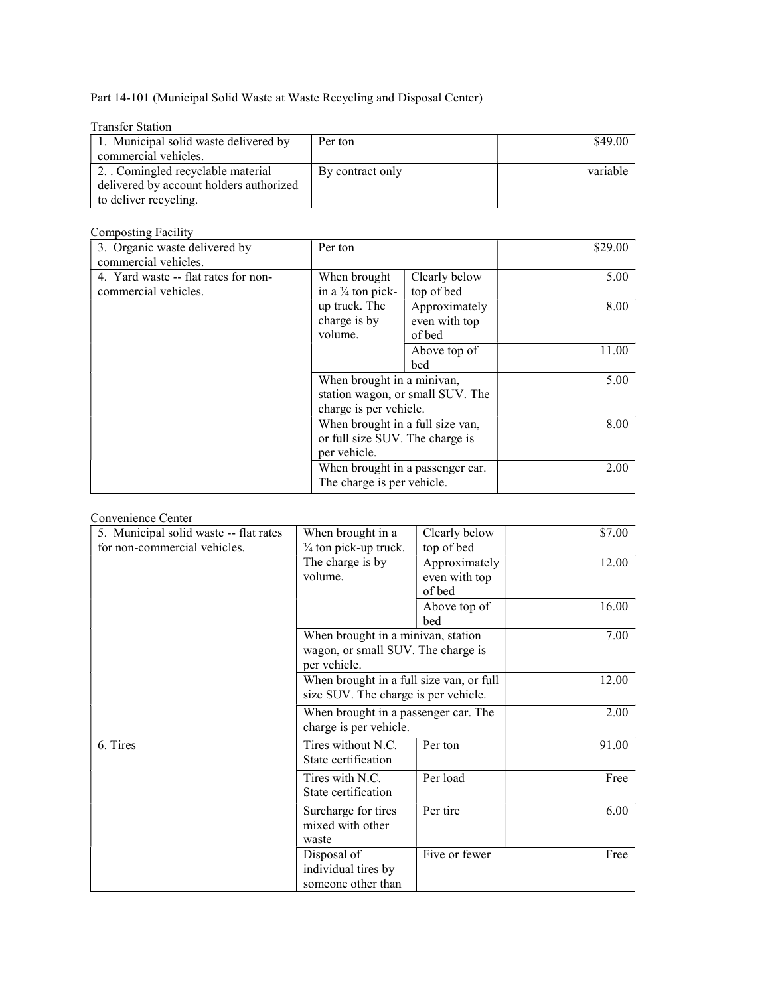Part 14-101 (Municipal Solid Waste at Waste Recycling and Disposal Center)

| <b>Transfer Station</b>                 |                  |          |
|-----------------------------------------|------------------|----------|
| 1. Municipal solid waste delivered by   | Per ton          | \$49.00  |
| commercial vehicles.                    |                  |          |
| 2. Comingled recyclable material        | By contract only | variable |
| delivered by account holders authorized |                  |          |
| to deliver recycling.                   |                  |          |

## Composting Facility

| 3. Organic waste delivered by        | Per ton                          |                                  | \$29.00 |
|--------------------------------------|----------------------------------|----------------------------------|---------|
| commercial vehicles.                 |                                  |                                  |         |
| 4. Yard waste -- flat rates for non- | When brought                     | Clearly below                    | 5.00    |
| commercial vehicles.                 | in a $\frac{3}{4}$ ton pick-     | top of bed                       |         |
|                                      | up truck. The                    | Approximately                    | 8.00    |
|                                      | charge is by                     | even with top                    |         |
|                                      | volume.                          | of bed                           |         |
|                                      |                                  | Above top of                     | 11.00   |
|                                      |                                  | bed                              |         |
|                                      | When brought in a minivan,       |                                  | 5.00    |
|                                      |                                  | station wagon, or small SUV. The |         |
|                                      | charge is per vehicle.           |                                  |         |
|                                      | When brought in a full size van, |                                  | 8.00    |
|                                      | or full size SUV. The charge is  |                                  |         |
|                                      | per vehicle.                     |                                  |         |
|                                      | When brought in a passenger car. |                                  | 2.00    |
|                                      | The charge is per vehicle.       |                                  |         |

## Convenience Center

| 5. Municipal solid waste -- flat rates | When brought in a                        | Clearly below | \$7.00 |
|----------------------------------------|------------------------------------------|---------------|--------|
| for non-commercial vehicles.           | 3/4 ton pick-up truck.                   | top of bed    |        |
|                                        | The charge is by                         | Approximately | 12.00  |
|                                        | volume.                                  | even with top |        |
|                                        |                                          | of bed        |        |
|                                        |                                          | Above top of  | 16.00  |
|                                        |                                          | bed           |        |
|                                        | When brought in a minivan, station       |               | 7.00   |
|                                        | wagon, or small SUV. The charge is       |               |        |
|                                        | per vehicle.                             |               |        |
|                                        | When brought in a full size van, or full |               | 12.00  |
|                                        | size SUV. The charge is per vehicle.     |               |        |
|                                        | When brought in a passenger car. The     |               | 2.00   |
|                                        | charge is per vehicle.                   |               |        |
| 6. Tires                               | Tires without N.C.                       | Per ton       | 91.00  |
|                                        | State certification                      |               |        |
|                                        | Tires with N.C.                          | Per load      | Free   |
|                                        | State certification                      |               |        |
|                                        | Surcharge for tires                      | Per tire      | 6.00   |
|                                        | mixed with other                         |               |        |
|                                        | waste                                    |               |        |
|                                        | Disposal of                              | Five or fewer | Free   |
|                                        | individual tires by                      |               |        |
|                                        | someone other than                       |               |        |